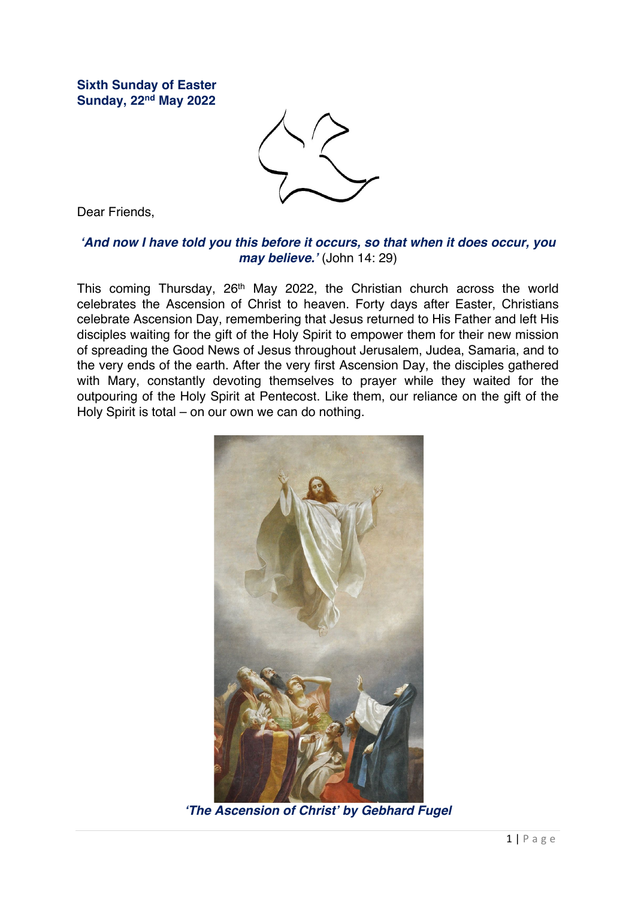**Sixth Sunday of Easter Sunday, 22nd May 2022**



Dear Friends,

## *'And now I have told you this before it occurs, so that when it does occur, you may believe.'* (John 14: 29)

This coming Thursday, 26<sup>th</sup> May 2022, the Christian church across the world celebrates the Ascension of Christ to heaven. Forty days after Easter, Christians celebrate Ascension Day, remembering that Jesus returned to His Father and left His disciples waiting for the gift of the Holy Spirit to empower them for their new mission of spreading the Good News of Jesus throughout Jerusalem, Judea, Samaria, and to the very ends of the earth. After the very first Ascension Day, the disciples gathered with Mary, constantly devoting themselves to prayer while they waited for the outpouring of the Holy Spirit at Pentecost. Like them, our reliance on the gift of the Holy Spirit is total – on our own we can do nothing.



*'The Ascension of Christ' by Gebhard Fugel*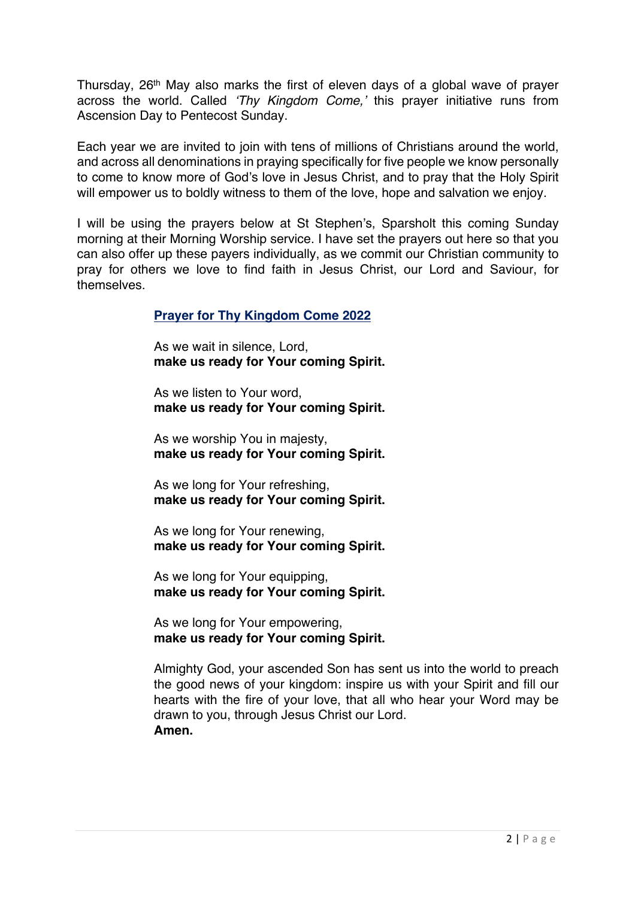Thursday, 26<sup>th</sup> May also marks the first of eleven days of a global wave of prayer across the world. Called *'Thy Kingdom Come,'* this prayer initiative runs from Ascension Day to Pentecost Sunday.

Each year we are invited to join with tens of millions of Christians around the world, and across all denominations in praying specifically for five people we know personally to come to know more of God's love in Jesus Christ, and to pray that the Holy Spirit will empower us to boldly witness to them of the love, hope and salvation we enjoy.

I will be using the prayers below at St Stephen's, Sparsholt this coming Sunday morning at their Morning Worship service. I have set the prayers out here so that you can also offer up these payers individually, as we commit our Christian community to pray for others we love to find faith in Jesus Christ, our Lord and Saviour, for themselves.

## **Prayer for Thy Kingdom Come 2022**

As we wait in silence, Lord, **make us ready for Your coming Spirit.** 

As we listen to Your word, **make us ready for Your coming Spirit.** 

As we worship You in majesty, **make us ready for Your coming Spirit.** 

As we long for Your refreshing, **make us ready for Your coming Spirit.**

As we long for Your renewing, **make us ready for Your coming Spirit.**

As we long for Your equipping, **make us ready for Your coming Spirit.** 

As we long for Your empowering, **make us ready for Your coming Spirit.** 

Almighty God, your ascended Son has sent us into the world to preach the good news of your kingdom: inspire us with your Spirit and fill our hearts with the fire of your love, that all who hear your Word may be drawn to you, through Jesus Christ our Lord. **Amen.**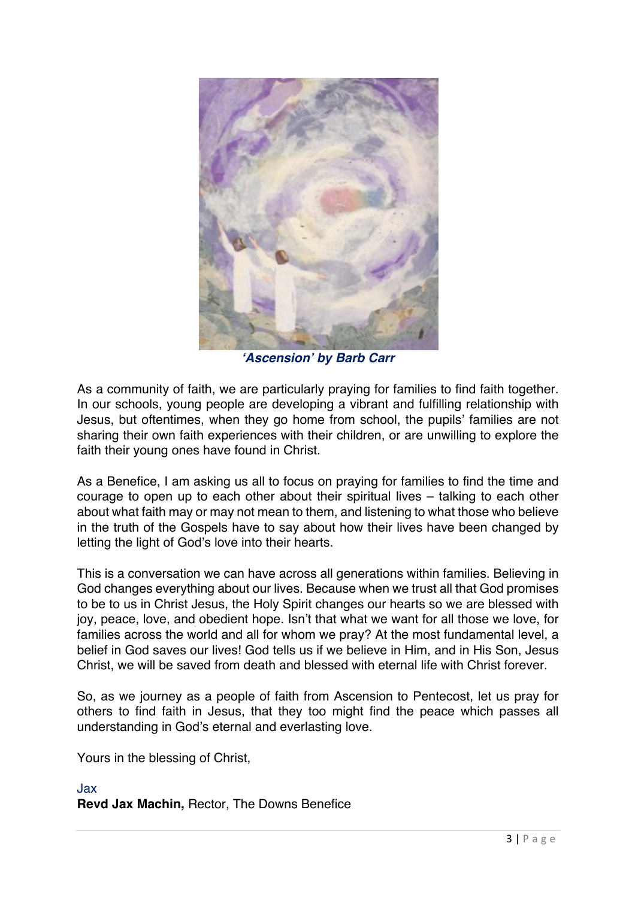

*'Ascension' by Barb Carr*

As a community of faith, we are particularly praying for families to find faith together. In our schools, young people are developing a vibrant and fulfilling relationship with Jesus, but oftentimes, when they go home from school, the pupils' families are not sharing their own faith experiences with their children, or are unwilling to explore the faith their young ones have found in Christ.

As a Benefice, I am asking us all to focus on praying for families to find the time and courage to open up to each other about their spiritual lives – talking to each other about what faith may or may not mean to them, and listening to what those who believe in the truth of the Gospels have to say about how their lives have been changed by letting the light of God's love into their hearts.

This is a conversation we can have across all generations within families. Believing in God changes everything about our lives. Because when we trust all that God promises to be to us in Christ Jesus, the Holy Spirit changes our hearts so we are blessed with joy, peace, love, and obedient hope. Isn't that what we want for all those we love, for families across the world and all for whom we pray? At the most fundamental level, a belief in God saves our lives! God tells us if we believe in Him, and in His Son, Jesus Christ, we will be saved from death and blessed with eternal life with Christ forever.

So, as we journey as a people of faith from Ascension to Pentecost, let us pray for others to find faith in Jesus, that they too might find the peace which passes all understanding in God's eternal and everlasting love.

Yours in the blessing of Christ,

## Jax **Revd Jax Machin,** Rector, The Downs Benefice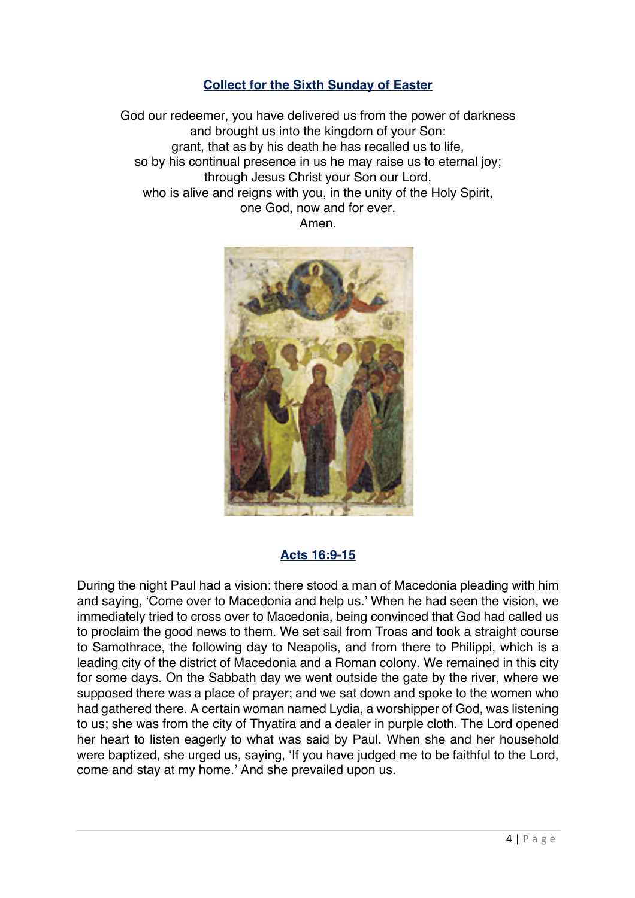# **Collect for the Sixth Sunday of Easter**

God our redeemer, you have delivered us from the power of darkness and brought us into the kingdom of your Son: grant, that as by his death he has recalled us to life, so by his continual presence in us he may raise us to eternal joy; through Jesus Christ your Son our Lord, who is alive and reigns with you, in the unity of the Holy Spirit. one God, now and for ever. Amen.



# **Acts 16:9-15**

During the night Paul had a vision: there stood a man of Macedonia pleading with him and saying, 'Come over to Macedonia and help us.' When he had seen the vision, we immediately tried to cross over to Macedonia, being convinced that God had called us to proclaim the good news to them. We set sail from Troas and took a straight course to Samothrace, the following day to Neapolis, and from there to Philippi, which is a leading city of the district of Macedonia and a Roman colony. We remained in this city for some days. On the Sabbath day we went outside the gate by the river, where we supposed there was a place of prayer; and we sat down and spoke to the women who had gathered there. A certain woman named Lydia, a worshipper of God, was listening to us; she was from the city of Thyatira and a dealer in purple cloth. The Lord opened her heart to listen eagerly to what was said by Paul. When she and her household were baptized, she urged us, saying, 'If you have judged me to be faithful to the Lord, come and stay at my home.' And she prevailed upon us.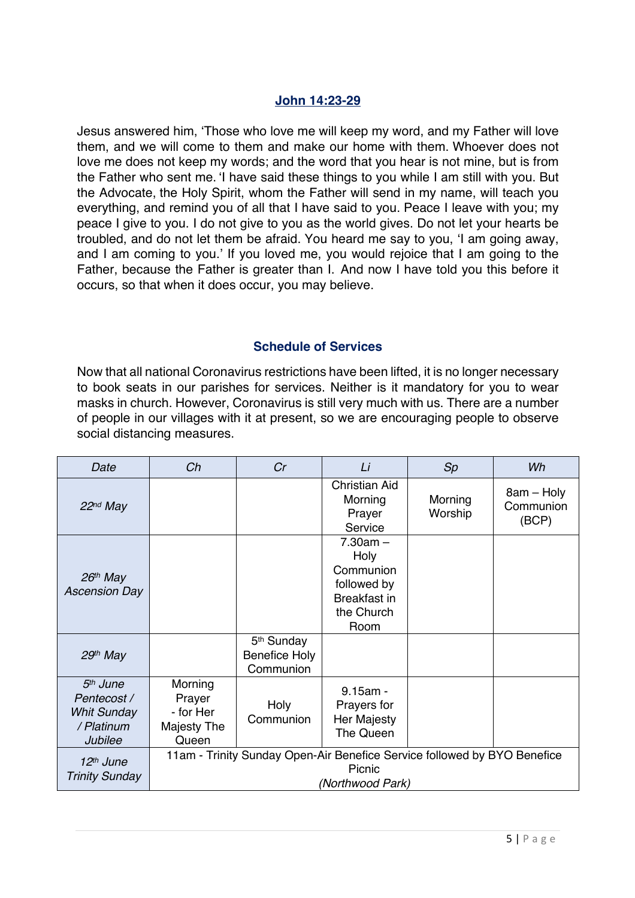## **John 14:23-29**

Jesus answered him, 'Those who love me will keep my word, and my Father will love them, and we will come to them and make our home with them. Whoever does not love me does not keep my words; and the word that you hear is not mine, but is from the Father who sent me. 'I have said these things to you while I am still with you. But the Advocate, the Holy Spirit, whom the Father will send in my name, will teach you everything, and remind you of all that I have said to you. Peace I leave with you; my peace I give to you. I do not give to you as the world gives. Do not let your hearts be troubled, and do not let them be afraid. You heard me say to you, 'I am going away, and I am coming to you.' If you loved me, you would rejoice that I am going to the Father, because the Father is greater than I. And now I have told you this before it occurs, so that when it does occur, you may believe.

#### **Schedule of Services**

Now that all national Coronavirus restrictions have been lifted, it is no longer necessary to book seats in our parishes for services. Neither is it mandatory for you to wear masks in church. However, Coronavirus is still very much with us. There are a number of people in our villages with it at present, so we are encouraging people to observe social distancing measures.

| Date                                                                               | Ch                                                                                                     | Cr                                                   | Li                                                                                          | Sp                 | Wh                               |  |  |
|------------------------------------------------------------------------------------|--------------------------------------------------------------------------------------------------------|------------------------------------------------------|---------------------------------------------------------------------------------------------|--------------------|----------------------------------|--|--|
| $22nd$ May                                                                         |                                                                                                        |                                                      | <b>Christian Aid</b><br>Morning<br>Prayer<br>Service                                        | Morning<br>Worship | 8am - Holy<br>Communion<br>(BCP) |  |  |
| $26th$ May<br><b>Ascension Day</b>                                                 |                                                                                                        |                                                      | $7.30am -$<br>Holy<br>Communion<br>followed by<br><b>Breakfast in</b><br>the Church<br>Room |                    |                                  |  |  |
| $29th$ May                                                                         |                                                                                                        | 5 <sup>th</sup> Sunday<br>Benefice Holy<br>Communion |                                                                                             |                    |                                  |  |  |
| 5 <sup>th</sup> June<br>Pentecost /<br><b>Whit Sunday</b><br>/ Platinum<br>Jubilee | Morning<br>Prayer<br>- for Her<br>Majesty The<br>Queen                                                 | Holy<br>Communion                                    | $9.15am -$<br>Prayers for<br>Her Majesty<br>The Queen                                       |                    |                                  |  |  |
| $12th$ June<br><b>Trinity Sunday</b>                                               | 11am - Trinity Sunday Open-Air Benefice Service followed by BYO Benefice<br>Picnic<br>(Northwood Park) |                                                      |                                                                                             |                    |                                  |  |  |